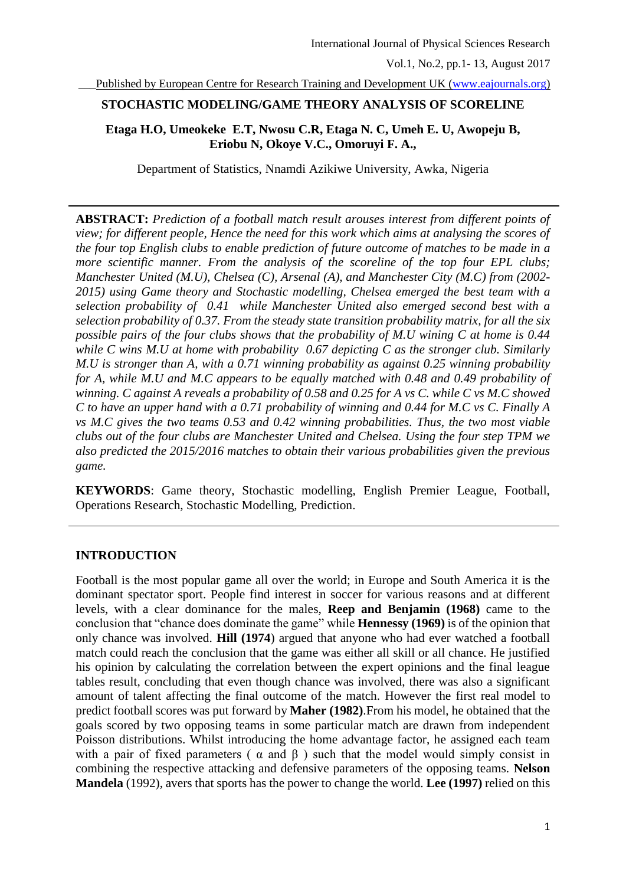Published by European Centre for Research Training and Development UK [\(www.eajournals.org\)](http://www.eajournals.org/)

# **STOCHASTIC MODELING/GAME THEORY ANALYSIS OF SCORELINE**

# **Etaga H.O, Umeokeke E.T, Nwosu C.R, Etaga N. C, Umeh E. U, Awopeju B, Eriobu N, Okoye V.C., Omoruyi F. A.,**

Department of Statistics, Nnamdi Azikiwe University, Awka, Nigeria

**ABSTRACT:** *Prediction of a football match result arouses interest from different points of view; for different people, Hence the need for this work which aims at analysing the scores of the four top English clubs to enable prediction of future outcome of matches to be made in a more scientific manner. From the analysis of the scoreline of the top four EPL clubs; Manchester United (M.U), Chelsea (C), Arsenal (A), and Manchester City (M.C) from (2002- 2015) using Game theory and Stochastic modelling, Chelsea emerged the best team with a selection probability of 0.41 while Manchester United also emerged second best with a selection probability of 0.37. From the steady state transition probability matrix, for all the six possible pairs of the four clubs shows that the probability of M.U wining C at home is 0.44 while C wins M.U at home with probability 0.67 depicting C as the stronger club. Similarly M.U is stronger than A, with a 0.71 winning probability as against 0.25 winning probability for A, while M.U and M.C appears to be equally matched with 0.48 and 0.49 probability of winning. C against A reveals a probability of 0.58 and 0.25 for A vs C. while C vs M.C showed C to have an upper hand with a 0.71 probability of winning and 0.44 for M.C vs C. Finally A vs M.C gives the two teams 0.53 and 0.42 winning probabilities. Thus, the two most viable clubs out of the four clubs are Manchester United and Chelsea. Using the four step TPM we also predicted the 2015/2016 matches to obtain their various probabilities given the previous game.*

**KEYWORDS**: Game theory, Stochastic modelling, English Premier League, Football, Operations Research, Stochastic Modelling, Prediction.

# **INTRODUCTION**

Football is the most popular game all over the world; in Europe and South America it is the dominant spectator sport. People find interest in soccer for various reasons and at different levels, with a clear dominance for the males, **Reep and Benjamin (1968)** came to the conclusion that "chance does dominate the game" while **Hennessy (1969)** is of the opinion that only chance was involved. **Hill (1974**) argued that anyone who had ever watched a football match could reach the conclusion that the game was either all skill or all chance. He justified his opinion by calculating the correlation between the expert opinions and the final league tables result, concluding that even though chance was involved, there was also a significant amount of talent affecting the final outcome of the match. However the first real model to predict football scores was put forward by **Maher (1982)**.From his model, he obtained that the goals scored by two opposing teams in some particular match are drawn from independent Poisson distributions. Whilst introducing the home advantage factor, he assigned each team with a pair of fixed parameters ( $\alpha$  and  $\beta$ ) such that the model would simply consist in combining the respective attacking and defensive parameters of the opposing teams. **Nelson Mandela** (1992), avers that sports has the power to change the world. **Lee (1997)** relied on this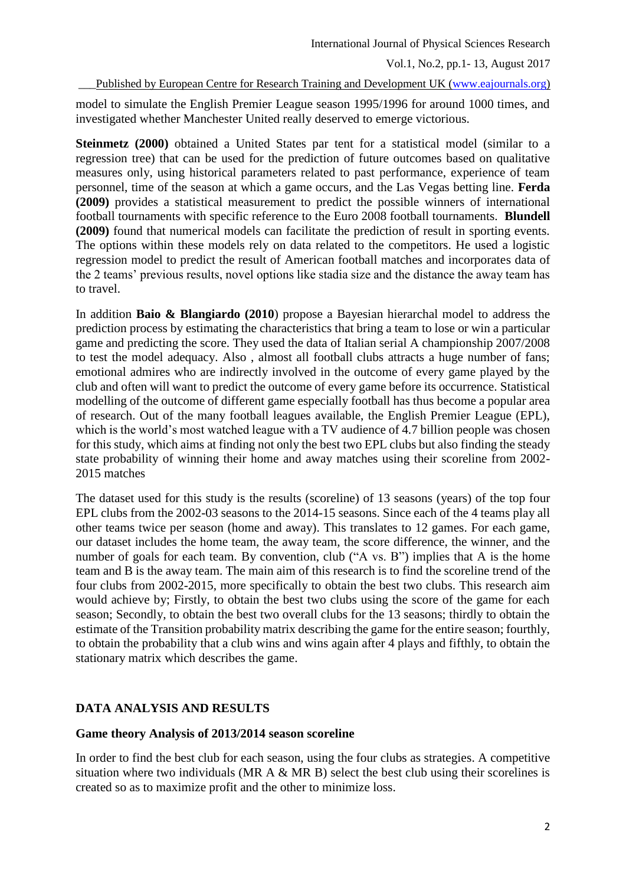#### Published by European Centre for Research Training and Development UK [\(www.eajournals.org\)](http://www.eajournals.org/)

model to simulate the English Premier League season 1995/1996 for around 1000 times, and investigated whether Manchester United really deserved to emerge victorious.

**Steinmetz (2000)** obtained a United States par tent for a statistical model (similar to a regression tree) that can be used for the prediction of future outcomes based on qualitative measures only, using historical parameters related to past performance, experience of team personnel, time of the season at which a game occurs, and the Las Vegas betting line. **Ferda (2009)** provides a statistical measurement to predict the possible winners of international football tournaments with specific reference to the Euro 2008 football tournaments. **Blundell (2009)** found that numerical models can facilitate the prediction of result in sporting events. The options within these models rely on data related to the competitors. He used a logistic regression model to predict the result of American football matches and incorporates data of the 2 teams' previous results, novel options like stadia size and the distance the away team has to travel.

In addition **Baio & Blangiardo (2010**) propose a Bayesian hierarchal model to address the prediction process by estimating the characteristics that bring a team to lose or win a particular game and predicting the score. They used the data of Italian serial A championship 2007/2008 to test the model adequacy. Also , almost all football clubs attracts a huge number of fans; emotional admires who are indirectly involved in the outcome of every game played by the club and often will want to predict the outcome of every game before its occurrence. Statistical modelling of the outcome of different game especially football has thus become a popular area of research. Out of the many football leagues available, the English Premier League (EPL), which is the world's most watched league with a TV audience of 4.7 billion people was chosen for this study, which aims at finding not only the best two EPL clubs but also finding the steady state probability of winning their home and away matches using their scoreline from 2002- 2015 matches

The dataset used for this study is the results (scoreline) of 13 seasons (years) of the top four EPL clubs from the 2002-03 seasons to the 2014-15 seasons. Since each of the 4 teams play all other teams twice per season (home and away). This translates to 12 games. For each game, our dataset includes the home team, the away team, the score difference, the winner, and the number of goals for each team. By convention, club ("A vs. B") implies that A is the home team and B is the away team. The main aim of this research is to find the scoreline trend of the four clubs from 2002-2015, more specifically to obtain the best two clubs. This research aim would achieve by; Firstly, to obtain the best two clubs using the score of the game for each season; Secondly, to obtain the best two overall clubs for the 13 seasons; thirdly to obtain the estimate of the Transition probability matrix describing the game for the entire season; fourthly, to obtain the probability that a club wins and wins again after 4 plays and fifthly, to obtain the stationary matrix which describes the game.

# **DATA ANALYSIS AND RESULTS**

# **Game theory Analysis of 2013/2014 season scoreline**

In order to find the best club for each season, using the four clubs as strategies. A competitive situation where two individuals (MR A & MR B) select the best club using their scorelines is created so as to maximize profit and the other to minimize loss.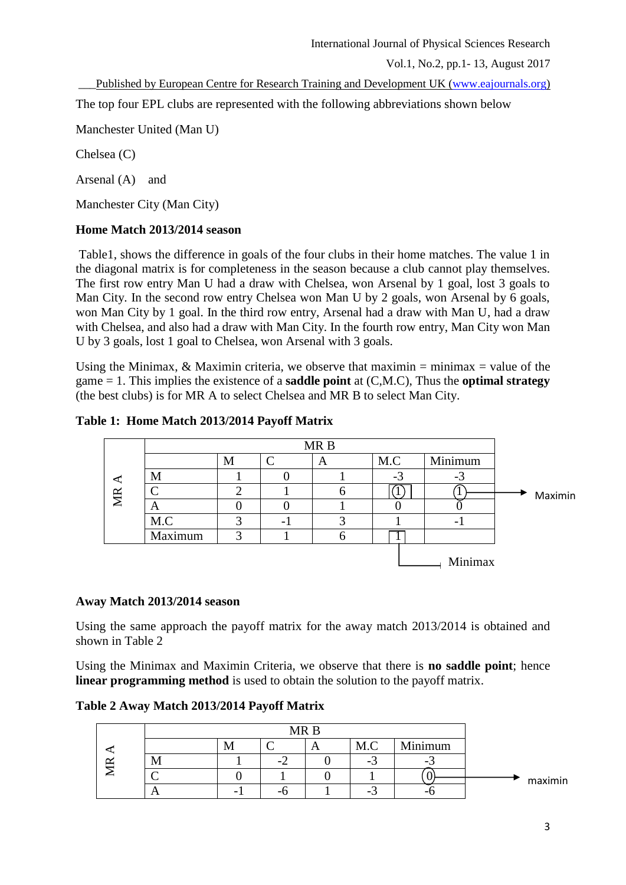\_\_\_Published by European Centre for Research Training and Development UK [\(www.eajournals.org\)](http://www.eajournals.org/)

The top four EPL clubs are represented with the following abbreviations shown below

Manchester United (Man U)

Chelsea (C)

Arsenal (A) and

Manchester City (Man City)

# **Home Match 2013/2014 season**

Table1, shows the difference in goals of the four clubs in their home matches. The value 1 in the diagonal matrix is for completeness in the season because a club cannot play themselves. The first row entry Man U had a draw with Chelsea, won Arsenal by 1 goal, lost 3 goals to Man City. In the second row entry Chelsea won Man U by 2 goals, won Arsenal by 6 goals, won Man City by 1 goal. In the third row entry, Arsenal had a draw with Man U, had a draw with Chelsea, and also had a draw with Man City. In the fourth row entry, Man City won Man U by 3 goals, lost 1 goal to Chelsea, won Arsenal with 3 goals.

Using the Minimax,  $\&$  Maximin criteria, we observe that maximin = minimax = value of the game = 1. This implies the existence of a **saddle point** at (C,M.C), Thus the **optimal strategy** (the best clubs) is for MR A to select Chelsea and MR B to select Man City.

# **Table 1: Home Match 2013/2014 Payoff Matrix**



# **Away Match 2013/2014 season**

Using the same approach the payoff matrix for the away match 2013/2014 is obtained and shown in Table 2

Using the Minimax and Maximin Criteria, we observe that there is **no saddle point**; hence **linear programming method** is used to obtain the solution to the payoff matrix.

**Table 2 Away Match 2013/2014 Payoff Matrix**

|          |   | MR <sub>B</sub> |   |     |         |         |
|----------|---|-----------------|---|-----|---------|---------|
|          | M |                 | A | M.C | Minimum |         |
| 1V.I     |   |                 |   |     |         |         |
|          |   |                 |   |     |         | maximin |
| $\Gamma$ |   | - 1             |   | -   | ۔       |         |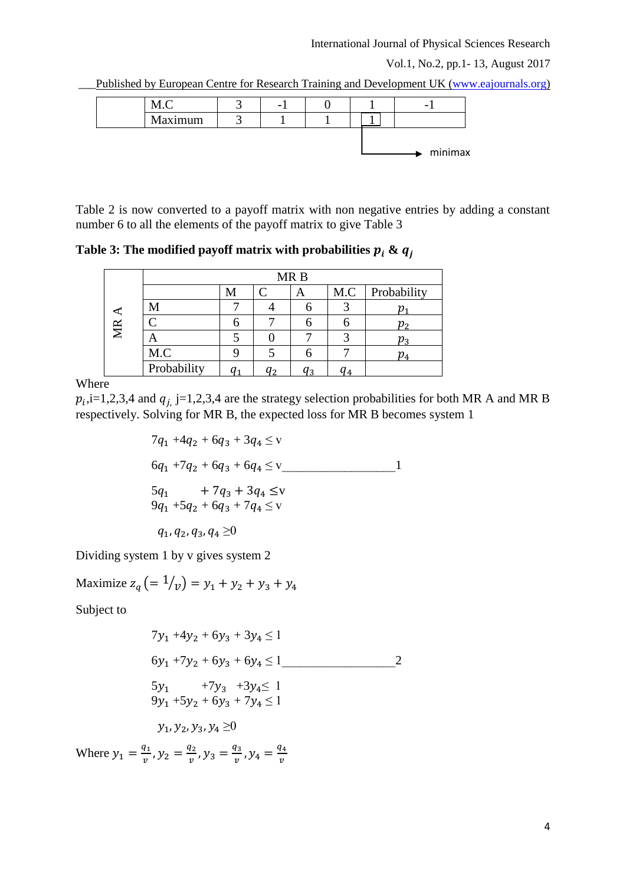#### International Journal of Physical Sciences Research

Vol.1, No.2, pp.1- 13, August 2017

Published by European Centre for Research Training and Development UK [\(www.eajournals.org\)](http://www.eajournals.org/)

|         | - |  |         |
|---------|---|--|---------|
| Maximum |   |  |         |
|         |   |  |         |
|         |   |  | minimax |

Table 2 is now converted to a payoff matrix with non negative entries by adding a constant number 6 to all the elements of the payoff matrix to give Table 3

Table 3: The modified payoff matrix with probabilities  $p_i \& q_i$ 

|    |             |   |           | MR <sub>B</sub> |                |                                         |
|----|-------------|---|-----------|-----------------|----------------|-----------------------------------------|
|    |             | M | $\subset$ | Α               |                | M.C   Probability                       |
|    | M           |   |           |                 |                |                                         |
| MR | ◠           |   |           |                 |                | v <sub>2</sub>                          |
|    | A           |   |           |                 |                | $\boldsymbol{\mathcal{v}}_{\texttt{3}}$ |
|    | M.C         |   |           |                 |                | $p_{4}$                                 |
|    | Probability |   | ຳ         | 13              | q <sub>4</sub> |                                         |

Where

 $p_i$ , i=1,2,3,4 and  $q_j$ , j=1,2,3,4 are the strategy selection probabilities for both MR A and MR B respectively. Solving for MR B, the expected loss for MR B becomes system 1

$$
7q_1 + 4q_2 + 6q_3 + 3q_4 \leq v
$$
  
\n
$$
6q_1 + 7q_2 + 6q_3 + 6q_4 \leq v
$$
  
\n
$$
5q_1 + 7q_3 + 3q_4 \leq v
$$
  
\n
$$
9q_1 + 5q_2 + 6q_3 + 7q_4 \leq v
$$
  
\n
$$
q_1, q_2, q_3, q_4 \geq 0
$$

Dividing system 1 by v gives system 2

Maximize  $z_q (= 1/y) = y_1 + y_2 + y_3 + y_4$ 

Subject to

$$
7y_1 + 4y_2 + 6y_3 + 3y_4 \le 1
$$
  
\n
$$
6y_1 + 7y_2 + 6y_3 + 6y_4 \le 1
$$
  
\n
$$
5y_1 + 7y_3 + 3y_4 \le 1
$$
  
\n
$$
9y_1 + 5y_2 + 6y_3 + 7y_4 \le 1
$$
  
\n
$$
y_1, y_2, y_3, y_4 \ge 0
$$
  
\nWhere  $y_1 = \frac{q_1}{v}, y_2 = \frac{q_2}{v}, y_3 = \frac{q_3}{v}, y_4 = \frac{q_4}{v}$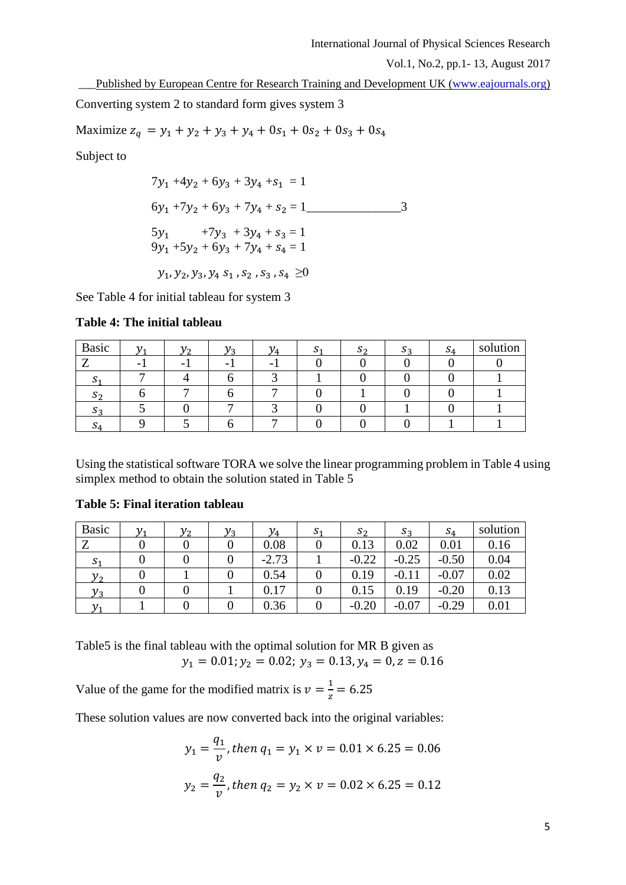\_\_\_Published by European Centre for Research Training and Development UK [\(www.eajournals.org\)](http://www.eajournals.org/)

Converting system 2 to standard form gives system 3

Maximize  $z_q = y_1 + y_2 + y_3 + y_4 + 0s_1 + 0s_2 + 0s_3 + 0s_4$ 

Subject to

$$
7y_1 + 4y_2 + 6y_3 + 3y_4 + s_1 = 1
$$
  
\n
$$
6y_1 + 7y_2 + 6y_3 + 7y_4 + s_2 = 1
$$
  
\n
$$
5y_1 + 7y_3 + 3y_4 + s_3 = 1
$$
  
\n
$$
9y_1 + 5y_2 + 6y_3 + 7y_4 + s_4 = 1
$$
  
\n
$$
y_1, y_2, y_3, y_4, s_1, s_2, s_3, s_4 \ge 0
$$

See Table 4 for initial tableau for system 3

| Table 4: The initial tableau |  |  |
|------------------------------|--|--|
|------------------------------|--|--|

| <b>Basic</b> |  |  |  | ാ $\Delta$ | solution |
|--------------|--|--|--|------------|----------|
|              |  |  |  |            |          |
|              |  |  |  |            |          |
| ാ~           |  |  |  |            |          |
|              |  |  |  |            |          |
| -24          |  |  |  |            |          |

Using the statistical software TORA we solve the linear programming problem in Table 4 using simplex method to obtain the solution stated in Table 5

| <b>Basic</b>   | $\mathcal{V}$ | $v_{\alpha}$ | $v_{3}$ | $\mathcal{V}_4$ | $S_1$ | $S_{2}$ | $S_2$   | $S_4$   | solution |
|----------------|---------------|--------------|---------|-----------------|-------|---------|---------|---------|----------|
| $\mathbf{z}$   |               |              |         | 0.08            |       | 0.13    | 0.02    | 0.01    | 0.16     |
| S <sub>1</sub> |               |              |         | $-2.73$         |       | $-0.22$ | $-0.25$ | $-0.50$ | 0.04     |
| $v_{2}$        |               |              |         | 0.54            |       | 0.19    | $-0.11$ | $-0.07$ | 0.02     |
| $y_3$          |               |              |         | 0.17            |       | 0.15    | 0.19    | $-0.20$ | 0.13     |
|                |               |              |         | 0.36            |       | $-0.20$ | $-0.07$ | $-0.29$ | 0.01     |

# **Table 5: Final iteration tableau**

Table5 is the final tableau with the optimal solution for MR B given as  $y_1 = 0.01; y_2 = 0.02; y_3 = 0.13, y_4 = 0, z = 0.16$ 

Value of the game for the modified matrix is  $v = \frac{1}{2}$  $\frac{1}{z}$  = 6.25

These solution values are now converted back into the original variables:

$$
y_1 = \frac{q_1}{v}
$$
, then  $q_1 = y_1 \times v = 0.01 \times 6.25 = 0.06$   
 $y_2 = \frac{q_2}{v}$ , then  $q_2 = y_2 \times v = 0.02 \times 6.25 = 0.12$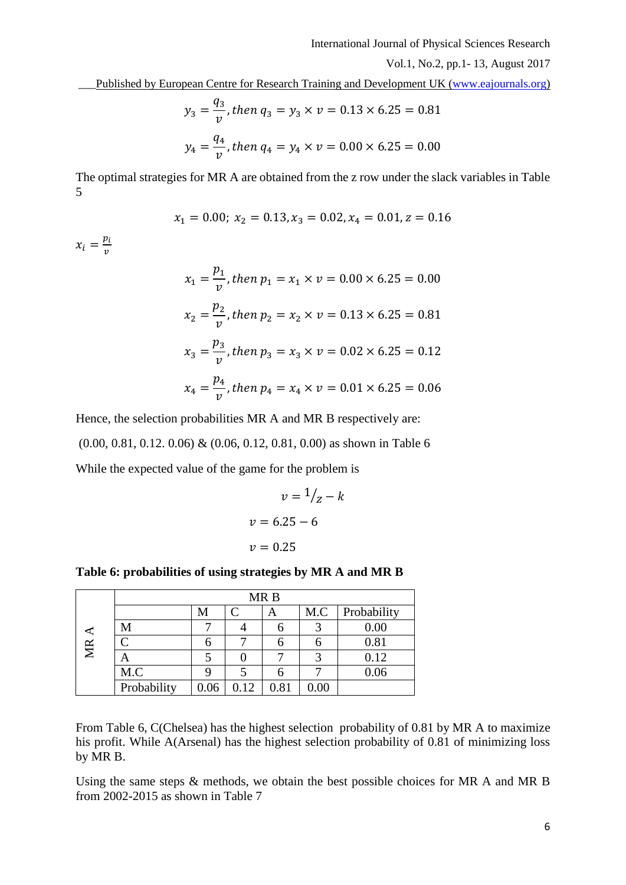Published by European Centre for Research Training and Development UK [\(www.eajournals.org\)](http://www.eajournals.org/)

$$
y_3 = \frac{q_3}{v}
$$
, then  $q_3 = y_3 \times v = 0.13 \times 6.25 = 0.81$   
 $y_4 = \frac{q_4}{v}$ , then  $q_4 = y_4 \times v = 0.00 \times 6.25 = 0.00$ 

The optimal strategies for MR A are obtained from the z row under the slack variables in Table 5

$$
x_1 = 0.00; x_2 = 0.13, x_3 = 0.02, x_4 = 0.01, z = 0.16
$$

 $x_i = \frac{p_i}{n}$  $\boldsymbol{\mathcal{V}}$ 

$$
x_1 = \frac{p_1}{v}, \text{ then } p_1 = x_1 \times v = 0.00 \times 6.25 = 0.00
$$
\n
$$
x_2 = \frac{p_2}{v}, \text{ then } p_2 = x_2 \times v = 0.13 \times 6.25 = 0.81
$$
\n
$$
x_3 = \frac{p_3}{v}, \text{ then } p_3 = x_3 \times v = 0.02 \times 6.25 = 0.12
$$
\n
$$
x_4 = \frac{p_4}{v}, \text{ then } p_4 = x_4 \times v = 0.01 \times 6.25 = 0.06
$$

Hence, the selection probabilities MR A and MR B respectively are: (0.00, 0.81, 0.12. 0.06) & (0.06, 0.12, 0.81, 0.00) as shown in Table 6 While the expected value of the game for the problem is

$$
v = 1/2 -
$$

$$
v = 6.25 - 6
$$

$$
v = 0.25
$$

 $\boldsymbol{k}$ 

#### **Table 6: probabilities of using strategies by MR A and MR B**

|                                                                                                                                                     |                                                                                                          |   |                         | MR <sub>B</sub> |     |             |  |  |  |  |  |
|-----------------------------------------------------------------------------------------------------------------------------------------------------|----------------------------------------------------------------------------------------------------------|---|-------------------------|-----------------|-----|-------------|--|--|--|--|--|
|                                                                                                                                                     |                                                                                                          | M | C                       | A               | M.C | Probability |  |  |  |  |  |
|                                                                                                                                                     | M                                                                                                        | 7 | 4                       | 6               | 3   | 0.00        |  |  |  |  |  |
| MR $A$                                                                                                                                              | C                                                                                                        | 6 | 7                       | 6               | 6   | 0.81        |  |  |  |  |  |
|                                                                                                                                                     | A                                                                                                        | 5 | 0                       | 7               | 3   | 0.12        |  |  |  |  |  |
|                                                                                                                                                     | M.C                                                                                                      | 9 | $\overline{\mathbf{5}}$ | 6               | 7   | 0.06        |  |  |  |  |  |
| 0.81<br>0.06<br>0.12<br>0.00<br>Probability                                                                                                         |                                                                                                          |   |                         |                 |     |             |  |  |  |  |  |
| From Table 6, C(Chelsea) has the highest selection probability of<br>his profit. While A(Arsenal) has the highest selection probability<br>by MR B. |                                                                                                          |   |                         |                 |     |             |  |  |  |  |  |
|                                                                                                                                                     | Using the same steps $\&$ methods, we obtain the best possible cho<br>from 2002-2015 as shown in Table 7 |   |                         |                 |     |             |  |  |  |  |  |

From Table 6, C(Chelsea) has the highest selection probability of 0.81 by MR A to maximize his profit. While A(Arsenal) has the highest selection probability of 0.81 of minimizing loss by MR B.

Using the same steps & methods, we obtain the best possible choices for MR A and MR B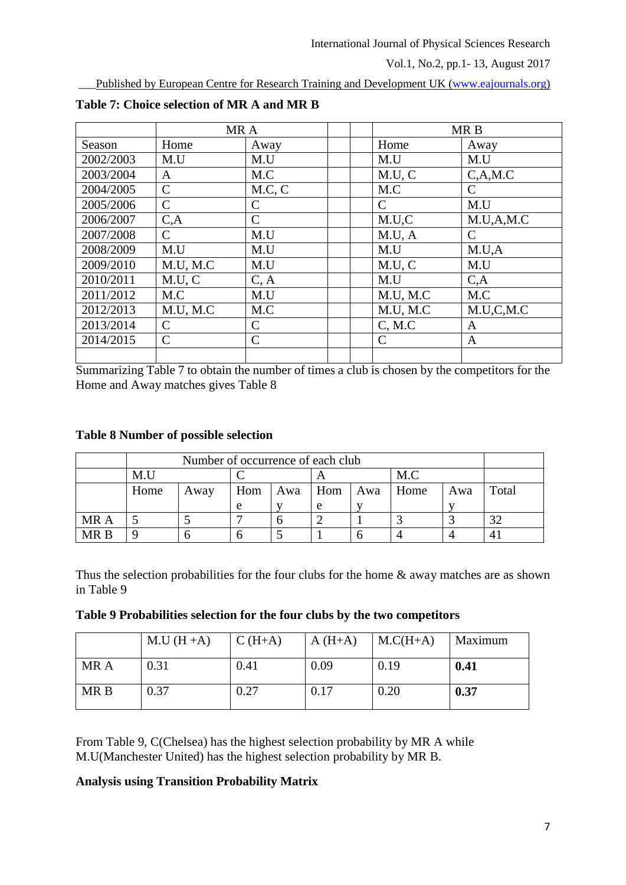\_\_\_Published by European Centre for Research Training and Development UK [\(www.eajournals.org\)](http://www.eajournals.org/)

|           | MR A          |               |          | MR <sub>B</sub> |
|-----------|---------------|---------------|----------|-----------------|
| Season    | Home          | Away          | Home     | Away            |
| 2002/2003 | M.U           | M.U           | M.U      | M.U             |
| 2003/2004 | A             | M.C           | M.U, C   | C.A.M.C         |
| 2004/2005 | $\mathcal{C}$ | M.C. C        | M.C      | $\mathcal{C}$   |
| 2005/2006 | $\mathcal{C}$ | C             | C        | M.U             |
| 2006/2007 | C, A          | $\mathcal{C}$ | M.U.C    | M.U.A.M.C       |
| 2007/2008 | $\mathcal{C}$ | M.U           | M.U, A   | $\mathcal{C}$   |
| 2008/2009 | M.U           | M.U           | M.U      | M.U.A           |
| 2009/2010 | M.U, M.C      | M.U           | M.U, C   | M.U             |
| 2010/2011 | M.U, C        | C, A          | M.U      | C, A            |
| 2011/2012 | M.C           | M.U           | M.U, M.C | M.C             |
| 2012/2013 | M.U. M.C      | M.C           | M.U, M.C | M.U.C.M.C       |
| 2013/2014 | $\mathcal{C}$ | C             | C, M.C   | A               |
| 2014/2015 | $\mathcal{C}$ | $\mathsf{C}$  | C        | A               |
|           |               |               |          |                 |

**Table 7: Choice selection of MR A and MR B**

Summarizing Table 7 to obtain the number of times a club is chosen by the competitors for the Home and Away matches gives Table 8

# **Table 8 Number of possible selection**

|      |      | Number of occurrence of each club |     |     |     |     |      |     |          |  |  |  |
|------|------|-----------------------------------|-----|-----|-----|-----|------|-----|----------|--|--|--|
|      | M.U  | M.C                               |     |     |     |     |      |     |          |  |  |  |
|      | Home | Away                              | Hom | Awa | Hom | Awa | Home | Awa | Total    |  |  |  |
|      |      |                                   | e   |     | e   |     |      |     |          |  |  |  |
| MR A |      |                                   |     |     |     |     |      |     | $\Omega$ |  |  |  |
| MR R |      |                                   |     |     |     |     |      |     |          |  |  |  |

Thus the selection probabilities for the four clubs for the home & away matches are as shown in Table 9

|  |  | Table 9 Probabilities selection for the four clubs by the two competitors |  |  |  |  |  |
|--|--|---------------------------------------------------------------------------|--|--|--|--|--|
|  |  |                                                                           |  |  |  |  |  |

|      | $M.U(H+A)$ | $C(H+A)$ | $A(H+A)$ | $M.C(H+A)$ | Maximum |
|------|------------|----------|----------|------------|---------|
| MR A | 0.31       | 0.41     | 0.09     | 0.19       | 0.41    |
| MR B | 0.37       | 0.27     | 0.17     | 0.20       | 0.37    |

From Table 9, C(Chelsea) has the highest selection probability by MR A while M.U(Manchester United) has the highest selection probability by MR B.

# **Analysis using Transition Probability Matrix**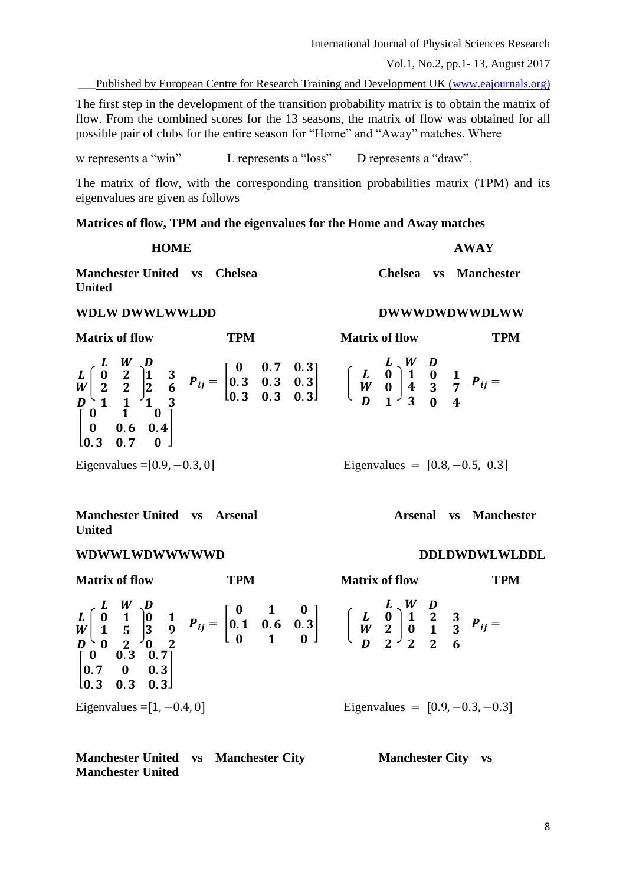International Journal of Physical Sciences Research

Vol.1, No.2, pp.1- 13, August 2017

\_\_\_Published by European Centre for Research Training and Development UK [\(www.eajournals.org\)](http://www.eajournals.org/)

The first step in the development of the transition probability matrix is to obtain the matrix of flow. From the combined scores for the 13 seasons, the matrix of flow was obtained for all possible pair of clubs for the entire season for "Home" and "Away" matches. Where

w represents a "win" L represents a "loss" D represents a "draw".

The matrix of flow, with the corresponding transition probabilities matrix (TPM) and its eigenvalues are given as follows

**Matrices of flow, TPM and the eigenvalues for the Home and Away matches**

| <b>HOME</b>                                   |  | <b>AWAY</b> |  |                       |
|-----------------------------------------------|--|-------------|--|-----------------------|
| Manchester United vs Chelsea<br><b>United</b> |  |             |  | Chelsea vs Manchester |

#### **WDLW DWWLWWLDD DWWWDWDWWDLWW**

| <b>Matrix of flow</b>          | TPM                                                                                                                                                                                                                                                                                                                                                                                                                                                | <b>Matrix of flow</b>            | rpm |
|--------------------------------|----------------------------------------------------------------------------------------------------------------------------------------------------------------------------------------------------------------------------------------------------------------------------------------------------------------------------------------------------------------------------------------------------------------------------------------------------|----------------------------------|-----|
|                                | $\begin{array}{l} L \left[\begin{array}{cc} L & W & D \\ 0 & 2 \\ W & 2 & 2 \end{array}\right] \begin{array}{ccc} 1 & 3 \\ 2 & 6 \\ W & 1 & 1 \end{array} & P_{ij} = \left[\begin{array}{cccc} 0 & 0.7 & 0.3 \\ 0.3 & 0.3 & 0.3 \\ 0.3 & 0.3 & 0.3 \end{array}\right] & \left[\begin{array}{cc} L & W & D \\ W & 0 \\ W & 0 \end{array}\right] \begin{array}{ccc} 1 & 0 & 1 \\ 4 & 3 & 7 \\ D & 1 & 3 \end{array} & P_{ij} = \left[\begin{array}{$ |                                  |     |
| Eigenvalues = $[0.9, -0.3, 0]$ |                                                                                                                                                                                                                                                                                                                                                                                                                                                    | Eigenvalues = $[0.8, -0.5, 0.3]$ |     |

**Manchester United vs Arsenal Contract Arsenal vs Manchester United**

#### **WDWWLWDWWWWWD DDLDWDWLWLDDL**

**Matrix of flow TPM Matrix of flow TPM** L W L W  $\overline{D}$  $\bf{0}$  $1\quad5$  $\binom{6}{0}$  $\mathbf{1}$ 5  $\overline{2}$ D  $\bf{0}$ 3  $\overline{\mathbf{0}}$  $\mathbf{1}$ 9  $\overline{2}$  $P_{ij} =$  $0 \quad 1 \quad 0$  $0.1$   $0.6$   $0.3$  $0 \quad 1 \quad 0$ ]  $L \setminus W$ L W D  $\boldsymbol{0}$  $\boldsymbol{2}$  $\boldsymbol{2}$  $\mathbf{1}$  $\boldsymbol{0}$  $\boldsymbol{2}$ D  $\overline{\mathbf{c}}$  $\mathbf{1}$  $\boldsymbol{2}$ 3 3 6  $P_{ij} =$  $\begin{bmatrix} 0.7 & 0 & 0.3 \end{bmatrix}$  $0 \t 0.3 \t 0.7$  $\begin{vmatrix} 0.3 & 0.3 & 0.3 \end{vmatrix}$ ] Eigenvalues =  $[1, -0.4, 0]$  Eigenvalues =  $[0.9, -0.3, -0.3]$ 

**Manchester United vs Manchester City Manchester City vs Manchester United**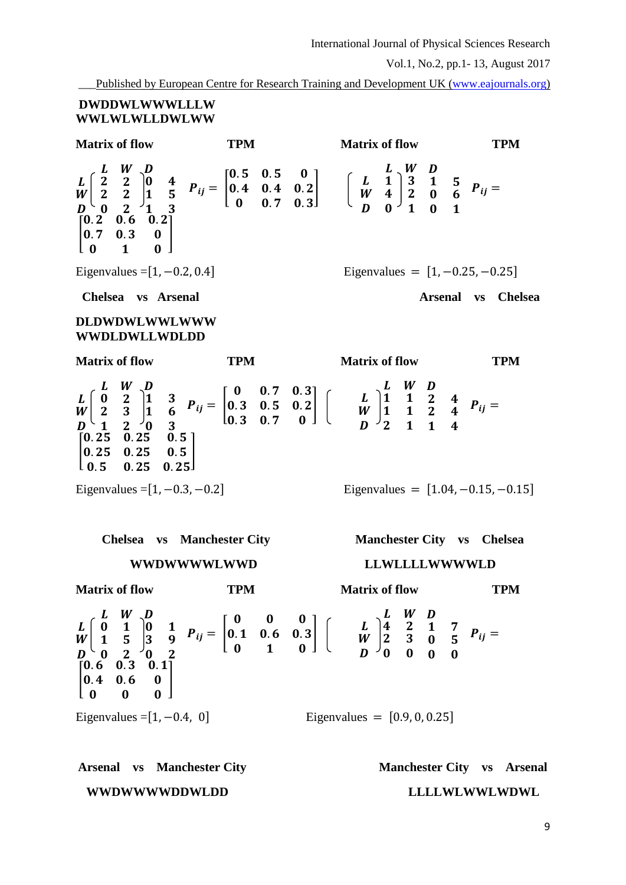\_\_\_Published by European Centre for Research Training and Development UK [\(www.eajournals.org\)](http://www.eajournals.org/)

# **DWDDWLWWWLLLW WWLWLWLLDWLWW**

**Matrix of flow TPM Matrix of flow TPM** L W  $L \mid 2$  $\bar{W}$  $\overline{D}$  $\mathbf{z}$  $\mathbf{0}$  $\mathbf{2}$  $\mathbf{2}$  $\mathbf{2}$ D  $\bf{0}$  $\mathbf{1}$  $\mathbf{1}$  $\ddot{\textbf{r}}$ 5  $\overline{\mathbf{3}}$  $P_{ij} =$  $0.5$  0.5 0  $0.4$   $0.4$   $0.2$  $0.7$  0.3 ]  $L \setminus W$ L W D  $\mathbf{1}$ 4  $\boldsymbol{0}$ 3  $\boldsymbol{2}$  $\mathbf{1}$ D  $\mathbf{1}$  $\boldsymbol{0}$  $\boldsymbol{0}$ 5 6  $\mathbf{1}$  $P_{ij} =$ [  $0.2$   $0.6$   $0.2$  $0.7 \quad 0.3 \quad 0$  $0 \quad 1 \quad 0$  $\mathbf{0}$ Eigenvalues =  $[1, -0.2, 0.4]$  Eigenvalues =  $[1, -0.25, -0.25]$ **Chelsea vs Arsenal Arsenal vs Chelsea DLDWDWLWWLWWW WWDLDWLLWDLDD Matrix of flow TPM Matrix of flow TPM** L W L W  $\bm{D}$  $\bf{0}$  $\mathbf{z}$  $\mathbf{1}$  $\mathbf{z}$ 3  $\overline{2}$ D  $\mathbf{1}$  $\mathbf{1}$  $\overline{\mathbf{0}}$ 3 6  $\overline{\mathbf{3}}$  $P_{ij} =$  $0 \t 0.7 \t 0.3$  $0.3$   $0.5$   $0.2$  $0.3 \quad 0.7 \quad 0$ ] L W L W D  $\mathbf{1}$  $\mathbf{1}$  $\boldsymbol{2}$  $\mathbf{1}$  $\mathbf{1}$  $\mathbf{1}$ D  $\overline{\mathbf{c}}$  $\overline{c}$  $\mathbf{1}$  $\boldsymbol{4}$  $\boldsymbol{4}$  $\boldsymbol{4}$  $P_{ij} =$ [  $0.25$   $0.25$   $0.5$  $0.25 \quad 0.25 \quad 0.5$  $\begin{bmatrix} 0.5 & 0.25 & 0.25 \end{bmatrix}$ Eigenvalues =  $[1, -0.3, -0.2]$  Eigenvalues =  $[1.04, -0.15, -0.15]$ **Chelsea vs Manchester City Manchester City vs Chelsea WWDWWWWLWWD LLWLLLLWWWWLD Matrix of flow TPM Matrix of flow TPM**  $L$  W L W  $\overline{D}$  $\bf{0}$  $\mathbf{1}$  $\overline{\mathbf{0}}$  $\mathbf{1}$ 5  $\overline{c}$ D  $\bf{0}$ 3  $\overline{\mathbf{0}}$  $\mathbf{1}$ 9  $\overline{2}$  $P_{ij} =$  $0 \t 0 \t 0$  $0.1$   $0.6$   $0.3$  $0 \quad 1 \quad 0$ ] L W L W D  $\boldsymbol{4}$  $\boldsymbol{2}$  $\boldsymbol{0}$  $\overline{\mathbf{c}}$ 3  $\boldsymbol{0}$ D  $\mathbf{1}$  $\bf{0}$  $\boldsymbol{0}$ 7 5  $\boldsymbol{0}$  $P_{ij} =$ [  $0.6$   $0.3$   $0.1$  $0.4$   $0.6$  0  $\Omega$  $\overline{0}$ Eigenvalues =  $[1, -0.4, 0]$  Eigenvalues =  $[0.9, 0, 0.25]$ 

Arsenal vs Manchester City **Manchester City Vs Arsenal WWDWWWWDDWLDD LLLLWLWWLWDWL**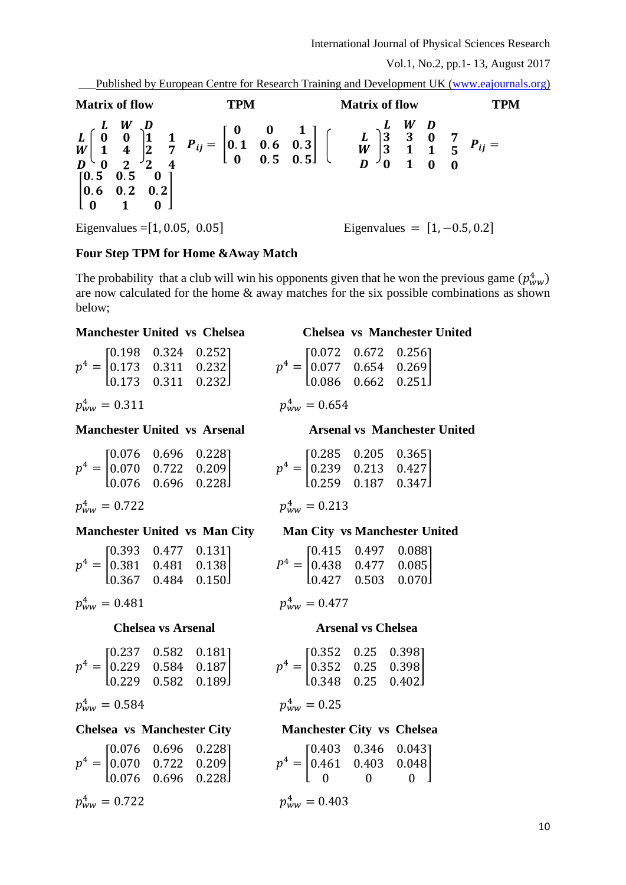\_\_\_Published by European Centre for Research Training and Development UK [\(www.eajournals.org\)](http://www.eajournals.org/)

**Matrix of flow TPM Matrix of flow TPM** L W L W D  $\bf{0}$  $\mathbf{1}$  $\overline{\mathbf{0}}$  $\bf{0}$  $\ddot{\textbf{r}}$  $\overline{2}$ D  $\mathbf{1}$  $\mathbf{z}$  $\mathbf{2}$  $\mathbf{1}$ 7 4  $P_{ij} =$  $0 \t 0 \t 1$  $0.1$   $0.6$   $0.3$  $0 \t 0.5 \t 0.5$ ]  $L$  W L W D 3 3  $\boldsymbol{0}$ 3  $\mathbf{1}$  $\mathbf{1}$ D  $\boldsymbol{0}$  $\mathbf{1}$  $\bf{0}$ 7 5  $\boldsymbol{0}$  $P_{ij} =$ [  $0.5$  0.5 0  $0.6$   $0.2$   $0.2$  $0 \quad 1 \quad 0$  $\mathbf{0.2}$ Eigenvalues =  $[1, 0.05, 0.05]$  Eigenvalues =  $[1, -0.5, 0.2]$ 

# **Four Step TPM for Home &Away Match**

The probability that a club will win his opponents given that he won the previous game  $(p_{ww}^4)$ are now calculated for the home & away matches for the six possible combinations as shown below;

# **Manchester United vs Chelsea Chelsea vs Manchester United**

|  | $p^4 = \begin{bmatrix} 0.198 & 0.324 & 0.252 \\ 0.173 & 0.311 & 0.232 \\ 0.173 & 0.311 & 0.232 \end{bmatrix}$ |  |
|--|---------------------------------------------------------------------------------------------------------------|--|
|  |                                                                                                               |  |
|  |                                                                                                               |  |

 $p_{WW}^4 = 0.311$   $p_{WW}^4$ 

|  | $[0.076 \t 0.696 \t 0.228]$                                                          |   |
|--|--------------------------------------------------------------------------------------|---|
|  | $p^4 = \begin{bmatrix} 0.070 & 0.722 & 0.209 \\ 0.076 & 0.696 & 0.228 \end{bmatrix}$ | р |
|  |                                                                                      |   |

 $p_{ww}^4 = 0.722$   $p_{ww}^4$ 

# **Manchester United vs Man City Man City vs Manchester United**

|  | $\begin{bmatrix} 0.393 & 0.477 & 0.131 \end{bmatrix}$ |                                         |   |
|--|-------------------------------------------------------|-----------------------------------------|---|
|  |                                                       | $p^4 =  0.381 \quad 0.481 \quad 0.138 $ | P |
|  | $\begin{bmatrix} 0.367 & 0.484 & 0.150 \end{bmatrix}$ |                                         |   |

 $p_{WW}^4 = 0.481$   $p_{WW}^4$ 

|  | $[0.237 \t 0.582 \t 0.181]$                           |
|--|-------------------------------------------------------|
|  | $p^4 =  0.229 \quad 0.584 \quad 0.187 $               |
|  | $\begin{bmatrix} 0.229 & 0.582 & 0.189 \end{bmatrix}$ |

 $p_{WW}^4 = 0.584$   $p_{WW}^4$ 

 $p^4 = |$ 0.076 0.696 0.228 0.070 0.722 0.209 0.076 0.696 0.228

 $p_{ww}^4 = 0.722$   $p_{ww}^4$ 

|  | $p^4 = \begin{bmatrix} 0.072 & 0.672 & 0.256 \\ 0.077 & 0.654 & 0.269 \\ 0.086 & 0.662 & 0.251 \end{bmatrix}$ |  |
|--|---------------------------------------------------------------------------------------------------------------|--|
|  |                                                                                                               |  |

# $p_{WW}^4 = 0.654$

# **Manchester United vs Arsenal Arsenal vs Manchester United**

|  | $p^4 = \begin{bmatrix} 0.285 & 0.205 & 0.365 \ 0.239 & 0.213 & 0.427 \end{bmatrix}$ |  |
|--|-------------------------------------------------------------------------------------|--|
|  | $\begin{bmatrix} 0.259 & 0.187 & 0.347 \end{bmatrix}$                               |  |

# $p_{WW}^4 = 0.213$

|  | $[0.415 \quad 0.497 \quad 0.088]$                     |  |
|--|-------------------------------------------------------|--|
|  | $P^4 =  0.438 \quad 0.477 \quad 0.085 $               |  |
|  | $\begin{bmatrix} 0.427 & 0.503 & 0.070 \end{bmatrix}$ |  |

$$
p_{WW}^4=0.477
$$

# **Chelsea vs Arsenal Arsenal vs Chelsea**

|  | $p^4 = \begin{bmatrix} 0.352 & 0.25 & 0.398 \\ 0.352 & 0.25 & 0.398 \end{bmatrix}$ |
|--|------------------------------------------------------------------------------------|
|  | $\begin{bmatrix} 0.348 & 0.25 & 0.402 \end{bmatrix}$                               |

$$
p^4_{\scriptscriptstyle WW}=0.25
$$

# **Chelsea vs Manchester City Manchester City vs Chelsea**

| $p^4 = \begin{bmatrix} 0.403 & 0.346 & 0.043 \\ 0.461 & 0.403 & 0.048 \end{bmatrix}$ |        |     |          |  |
|--------------------------------------------------------------------------------------|--------|-----|----------|--|
|                                                                                      | $\Box$ | - 0 | $\Omega$ |  |

# $p_{\text{uvw}}^4 = 0.403$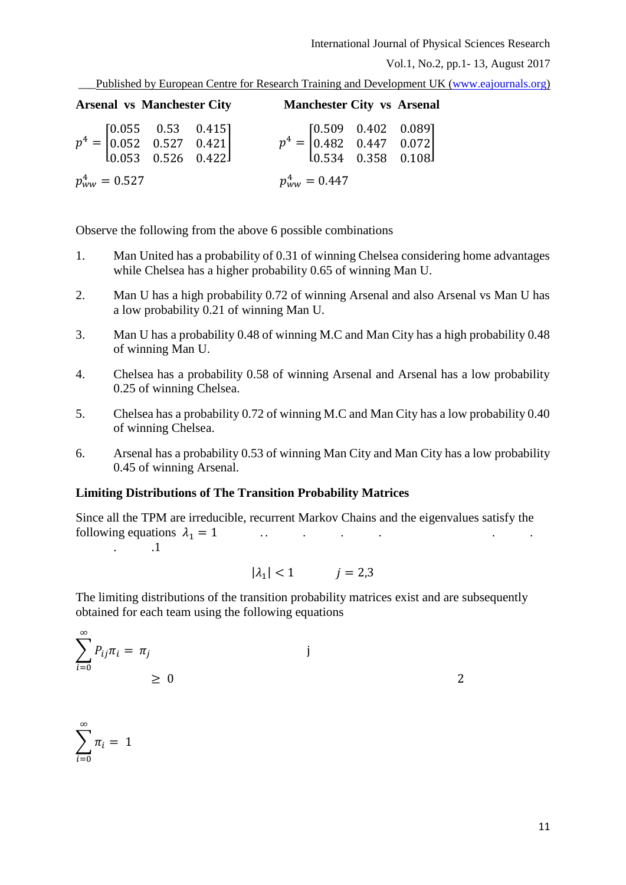International Journal of Physical Sciences Research

Vol.1, No.2, pp.1- 13, August 2017

\_\_\_Published by European Centre for Research Training and Development UK [\(www.eajournals.org\)](http://www.eajournals.org/)

|                    | <b>Arsenal vs Manchester City</b> |                                                                                                              |                    | <b>Manchester City vs Arsenal</b>                                                                             |
|--------------------|-----------------------------------|--------------------------------------------------------------------------------------------------------------|--------------------|---------------------------------------------------------------------------------------------------------------|
|                    |                                   | $p^4 = \begin{bmatrix} 0.055 & 0.53 & 0.415 \\ 0.052 & 0.527 & 0.421 \\ 0.053 & 0.526 & 0.422 \end{bmatrix}$ |                    | $p^4 = \begin{bmatrix} 0.509 & 0.402 & 0.089 \\ 0.482 & 0.447 & 0.072 \\ 0.534 & 0.358 & 0.108 \end{bmatrix}$ |
| $p_{WW}^4 = 0.527$ |                                   |                                                                                                              | $p_{WW}^4 = 0.447$ |                                                                                                               |

Observe the following from the above 6 possible combinations

- 1. Man United has a probability of 0.31 of winning Chelsea considering home advantages while Chelsea has a higher probability 0.65 of winning Man U.
- 2. Man U has a high probability 0.72 of winning Arsenal and also Arsenal vs Man U has a low probability 0.21 of winning Man U.
- 3. Man U has a probability 0.48 of winning M.C and Man City has a high probability 0.48 of winning Man U.
- 4. Chelsea has a probability 0.58 of winning Arsenal and Arsenal has a low probability 0.25 of winning Chelsea.
- 5. Chelsea has a probability 0.72 of winning M.C and Man City has a low probability 0.40 of winning Chelsea.
- 6. Arsenal has a probability 0.53 of winning Man City and Man City has a low probability 0.45 of winning Arsenal.

# **Limiting Distributions of The Transition Probability Matrices**

Since all the TPM are irreducible, recurrent Markov Chains and the eigenvalues satisfy the following equations <sup>1</sup> = 1 . . . . . . . . .1

 $\sum \pi_i = 1$ 

∞

 $i=0$ 

$$
|\lambda_1| < 1 \qquad \qquad j = 2,3
$$

The limiting distributions of the transition probability matrices exist and are subsequently obtained for each team using the following equations

$$
\sum_{i=0}^{\infty} P_{ij}\pi_i = \pi_j
$$
 j  
\n
$$
\geq 0
$$

11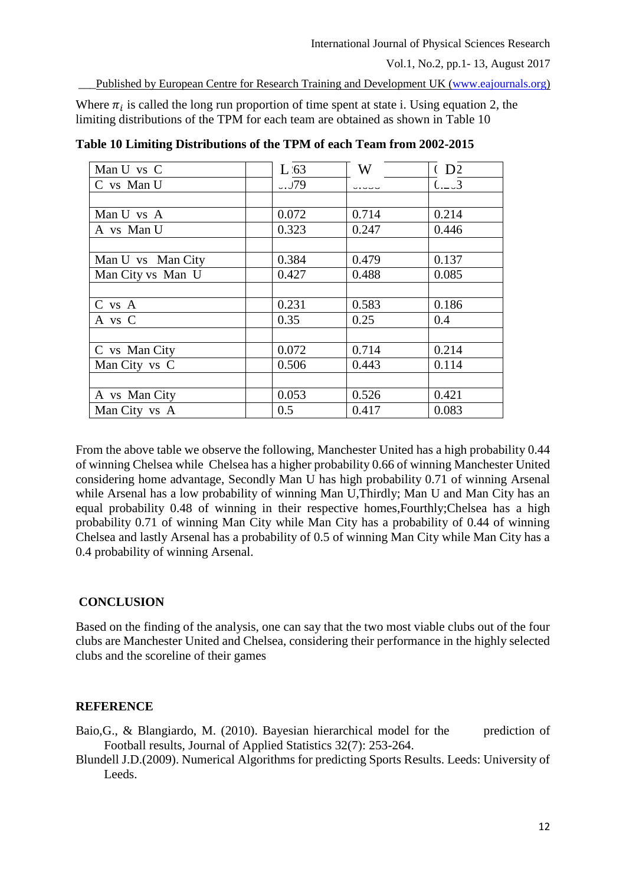\_\_\_Published by European Centre for Research Training and Development UK [\(www.eajournals.org\)](http://www.eajournals.org/)

Where  $\pi_i$  is called the long run proportion of time spent at state i. Using equation 2, the limiting distributions of the TPM for each team are obtained as shown in Table 10

| Man U vs C        | $L_{63}$ | W     | (D2)                              |
|-------------------|----------|-------|-----------------------------------|
| C vs Man U        | .079     |       | $\overline{C}_{1}$ $\overline{3}$ |
|                   |          |       |                                   |
| Man U vs A        | 0.072    | 0.714 | 0.214                             |
| A vs Man U        | 0.323    | 0.247 | 0.446                             |
|                   |          |       |                                   |
| Man U vs Man City | 0.384    | 0.479 | 0.137                             |
| Man City vs Man U | 0.427    | 0.488 | 0.085                             |
|                   |          |       |                                   |
| C vs A            | 0.231    | 0.583 | 0.186                             |
| A vs C            | 0.35     | 0.25  | 0.4                               |
|                   |          |       |                                   |
| C vs Man City     | 0.072    | 0.714 | 0.214                             |
| Man City vs C     | 0.506    | 0.443 | 0.114                             |
|                   |          |       |                                   |
| A vs Man City     | 0.053    | 0.526 | 0.421                             |
| Man City vs A     | 0.5      | 0.417 | 0.083                             |

**Table 10 Limiting Distributions of the TPM of each Team from 2002-2015**

From the above table we observe the following, Manchester United has a high probability 0.44 of winning Chelsea while Chelsea has a higher probability 0.66 of winning Manchester United considering home advantage, Secondly Man U has high probability 0.71 of winning Arsenal while Arsenal has a low probability of winning Man U, Thirdly; Man U and Man City has an equal probability 0.48 of winning in their respective homes,Fourthly;Chelsea has a high probability 0.71 of winning Man City while Man City has a probability of 0.44 of winning Chelsea and lastly Arsenal has a probability of 0.5 of winning Man City while Man City has a 0.4 probability of winning Arsenal.

# **CONCLUSION**

Based on the finding of the analysis, one can say that the two most viable clubs out of the four clubs are Manchester United and Chelsea, considering their performance in the highly selected clubs and the scoreline of their games

# **REFERENCE**

- Baio, G., & Blangiardo, M. (2010). Bayesian hierarchical model for the prediction of Football results, Journal of Applied Statistics 32(7): 253-264.
- Blundell J.D.(2009). Numerical Algorithms for predicting Sports Results. Leeds: University of Leeds.